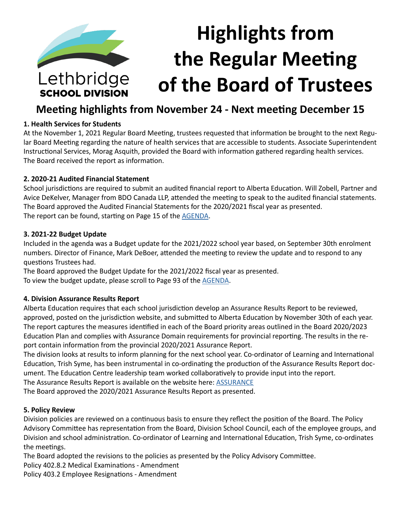

# **Meeting highlights from November 24 - Next meeting December 15**

## **1. Health Services for Students**

At the November 1, 2021 Regular Board Meeting, trustees requested that information be brought to the next Regular Board Meeting regarding the nature of health services that are accessible to students. Associate Superintendent Instructional Services, Morag Asquith, provided the Board with information gathered regarding health services. The Board received the report as information.

## **2. 2020-21 Audited Financial Statement**

School jurisdictions are required to submit an audited financial report to Alberta Education. Will Zobell, Partner and Avice DeKelver, Manager from BDO Canada LLP, attended the meeting to speak to the audited financial statements. The Board approved the Audited Financial Statements for the 2020/2021 fiscal year as presented. The report can be found, starting on Page 15 of the [AGENDA.](https://www.lethsd.ab.ca/download/372980)

#### **3. 2021-22 Budget Update**

Included in the agenda was a Budget update for the 2021/2022 school year based, on September 30th enrolment numbers. Director of Finance, Mark DeBoer, attended the meeting to review the update and to respond to any questions Trustees had.

The Board approved the Budget Update for the 2021/2022 fiscal year as presented. To view the budget update, please scroll to Page 93 of the **AGENDA**.

#### **4. Division Assurance Results Report**

Alberta Education requires that each school jurisdiction develop an Assurance Results Report to be reviewed, approved, posted on the jurisdiction website, and submitted to Alberta Education by November 30th of each year. The report captures the measures identified in each of the Board priority areas outlined in the Board 2020/2023 Education Plan and complies with Assurance Domain requirements for provincial reporting. The results in the report contain information from the provincial 2020/2021 Assurance Report.

The division looks at results to inform planning for the next school year. Co-ordinator of Learning and International Education, Trish Syme, has been instrumental in co-ordinating the production of the Assurance Results Report document. The Education Centre leadership team worked collaboratively to provide input into the report.

The Assurance Results Report is available on the website here: [ASSURANCE](https://www.lethsd.ab.ca/download/372942)

The Board approved the 2020/2021 Assurance Results Report as presented.

#### **5. Policy Review**

Division policies are reviewed on a continuous basis to ensure they reflect the position of the Board. The Policy Advisory Committee has representation from the Board, Division School Council, each of the employee groups, and Division and school administration. Co-ordinator of Learning and International Education, Trish Syme, co-ordinates the meetings.

The Board adopted the revisions to the policies as presented by the Policy Advisory Committee.

Policy 402.8.2 Medical Examinations - Amendment

Policy 403.2 Employee Resignations - Amendment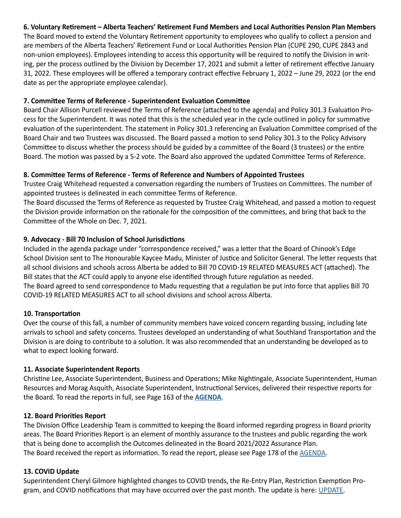# **6. Voluntary Retirement – Alberta Teachers' Retirement Fund Members and Local Authorities Pension Plan Members**

The Board moved to extend the Voluntary Retirement opportunity to employees who qualify to collect a pension and are members of the Alberta Teachers' Retirement Fund or Local Authorities Pension Plan (CUPE 290, CUPE 2843 and non-union employees). Employees intending to access this opportunity will be required to notify the Division in writing, per the process outlined by the Division by December 17, 2021 and submit a letter of retirement effective January 31, 2022. These employees will be offered a temporary contract effective February 1, 2022 – June 29, 2022 (or the end date as per the appropriate employee calendar).

#### **7. Committee Terms of Reference - Superintendent Evaluation Committee**

Board Chair Allison Purcell reviewed the Terms of Reference (attached to the agenda) and Policy 301.3 Evaluation Process for the Superintendent. It was noted that this is the scheduled year in the cycle outlined in policy for summative evaluation of the superintendent. The statement in Policy 301.3 referencing an Evaluation Committee comprised of the Board Chair and two Trustees was discussed. The Board passed a motion to send Policy 301.3 to the Policy Advisory Committee to discuss whether the process should be guided by a committee of the Board (3 trustees) or the entire Board. The motion was passed by a 5-2 vote. The Board also approved the updated Committee Terms of Reference.

# **8. Committee Terms of Reference - Terms of Reference and Numbers of Appointed Trustees**

Trustee Craig Whitehead requested a conversation regarding the numbers of Trustees on Committees. The number of appointed trustees is delineated in each committee Terms of Reference.

The Board discussed the Terms of Reference as requested by Trustee Craig Whitehead, and passed a motion to request the Division provide information on the rationale for the composition of the committees, and bring that back to the Committee of the Whole on Dec. 7, 2021.

## **9. Advocacy - Bill 70 Inclusion of School Jurisdictions**

Included in the agenda package under "correspondence received," was a letter that the Board of Chinook's Edge School Division sent to The Honourable Kaycee Madu, Minister of Justice and Solicitor General. The letter requests that all school divisions and schools across Alberta be added to Bill 70 COVID-19 RELATED MEASURES ACT (attached). The Bill states that the ACT could apply to anyone else identified through future regulation as needed. The Board agreed to send correspondence to Madu requesting that a regulation be put into force that applies Bill 70 COVID-19 RELATED MEASURES ACT to all school divisions and school across Alberta.

#### **10. Transportation**

Over the course of this fall, a number of community members have voiced concern regarding bussing, including late arrivals to school and safety concerns. Trustees developed an understanding of what Southland Transportation and the Division is are doing to contribute to a solution. It was also recommended that an understanding be developed as to what to expect looking forward.

#### **11. Associate Superintendent Reports**

Christine Lee, Associate Superintendent, Business and Operations; Mike Nightingale, Associate Superintendent, Human Resources and Morag Asquith, Associate Superintendent, Instructional Services, delivered their respective reports for the Board. To read the reports in full, see Page 163 of the **[AGENDA](https://www.lethsd.ab.ca/download/372980)**.

# **12. Board Priorities Report**

The Division Office Leadership Team is committed to keeping the Board informed regarding progress in Board priority areas. The Board Priorities Report is an element of monthly assurance to the trustees and public regarding the work that is being done to accomplish the Outcomes delineated in the Board 2021/2022 Assurance Plan. The Board received the report as information. To read the report, please see Page 178 of the [AGENDA](https://www.lethsd.ab.ca/download/372980).

#### **13. COVID Update**

Superintendent Cheryl Gilmore highlighted changes to COVID trends, the Re-Entry Plan, Restriction Exemption Program, and COVID notifications that may have occurred over the past month. The update is here: [UPDATE](https://www.lethsd.ab.ca/download/373481).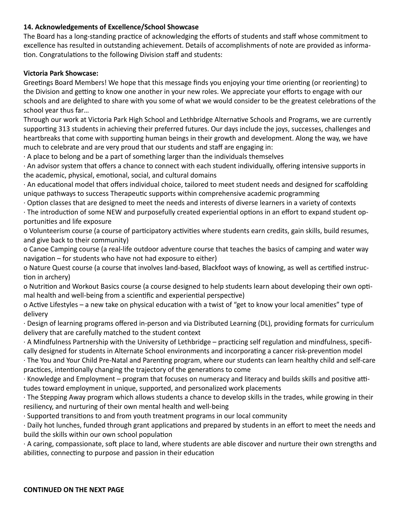# **14. Acknowledgements of Excellence/School Showcase**

The Board has a long-standing practice of acknowledging the efforts of students and staff whose commitment to excellence has resulted in outstanding achievement. Details of accomplishments of note are provided as information. Congratulations to the following Division staff and students:

# **Victoria Park Showcase:**

Greetings Board Members! We hope that this message finds you enjoying your time orienting (or reorienting) to the Division and getting to know one another in your new roles. We appreciate your efforts to engage with our schools and are delighted to share with you some of what we would consider to be the greatest celebrations of the school year thus far…

Through our work at Victoria Park High School and Lethbridge Alternative Schools and Programs, we are currently supporting 313 students in achieving their preferred futures. Our days include the joys, successes, challenges and heartbreaks that come with supporting human beings in their growth and development. Along the way, we have much to celebrate and are very proud that our students and staff are engaging in:

· A place to belong and be a part of something larger than the individuals themselves

· An advisor system that offers a chance to connect with each student individually, offering intensive supports in the academic, physical, emotional, social, and cultural domains

· An educational model that offers individual choice, tailored to meet student needs and designed for scaffolding unique pathways to success Therapeutic supports within comprehensive academic programming

· Option classes that are designed to meet the needs and interests of diverse learners in a variety of contexts

· The introduction of some NEW and purposefully created experiential options in an effort to expand student opportunities and life exposure

o Volunteerism course (a course of participatory activities where students earn credits, gain skills, build resumes, and give back to their community)

o Canoe Camping course (a real-life outdoor adventure course that teaches the basics of camping and water way navigation – for students who have not had exposure to either)

o Nature Quest course (a course that involves land-based, Blackfoot ways of knowing, as well as certified instruction in archery)

o Nutrition and Workout Basics course (a course designed to help students learn about developing their own optimal health and well-being from a scientific and experiential perspective)

o Active Lifestyles – a new take on physical education with a twist of "get to know your local amenities" type of delivery

· Design of learning programs offered in-person and via Distributed Learning (DL), providing formats for curriculum delivery that are carefully matched to the student context

· A Mindfulness Partnership with the University of Lethbridge – practicing self regulation and mindfulness, specifically designed for students in Alternate School environments and incorporating a cancer risk-prevention model

· The You and Your Child Pre-Natal and Parenting program, where our students can learn healthy child and self-care practices, intentionally changing the trajectory of the generations to come

· Knowledge and Employment – program that focuses on numeracy and literacy and builds skills and positive attitudes toward employment in unique, supported, and personalized work placements

· The Stepping Away program which allows students a chance to develop skills in the trades, while growing in their resiliency, and nurturing of their own mental health and well-being

· Supported transitions to and from youth treatment programs in our local community

· Daily hot lunches, funded through grant applications and prepared by students in an effort to meet the needs and build the skills within our own school population

· A caring, compassionate, soft place to land, where students are able discover and nurture their own strengths and abilities, connecting to purpose and passion in their education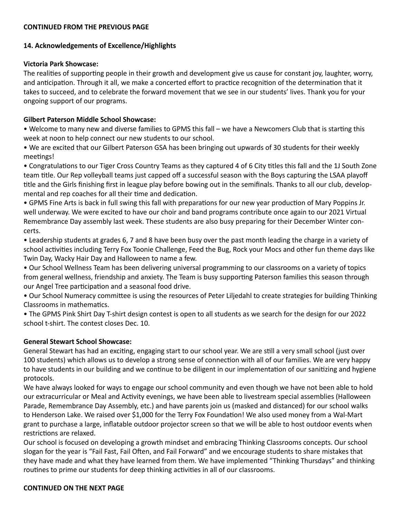#### **CONTINUED FROM THE PREVIOUS PAGE**

# **14. Acknowledgements of Excellence/Highlights**

# **Victoria Park Showcase:**

The realities of supporting people in their growth and development give us cause for constant joy, laughter, worry, and anticipation. Through it all, we make a concerted effort to practice recognition of the determination that it takes to succeed, and to celebrate the forward movement that we see in our students' lives. Thank you for your ongoing support of our programs.

# **Gilbert Paterson Middle School Showcase:**

• Welcome to many new and diverse families to GPMS this fall – we have a Newcomers Club that is starting this week at noon to help connect our new students to our school.

• We are excited that our Gilbert Paterson GSA has been bringing out upwards of 30 students for their weekly meetings!

• Congratulations to our Tiger Cross Country Teams as they captured 4 of 6 City titles this fall and the 1J South Zone team title. Our Rep volleyball teams just capped off a successful season with the Boys capturing the LSAA playoff title and the Girls finishing first in league play before bowing out in the semifinals. Thanks to all our club, developmental and rep coaches for all their time and dedication.

• GPMS Fine Arts is back in full swing this fall with preparations for our new year production of Mary Poppins Jr. well underway. We were excited to have our choir and band programs contribute once again to our 2021 Virtual Remembrance Day assembly last week. These students are also busy preparing for their December Winter concerts.

• Leadership students at grades 6, 7 and 8 have been busy over the past month leading the charge in a variety of school activities including Terry Fox Toonie Challenge, Feed the Bug, Rock your Mocs and other fun theme days like Twin Day, Wacky Hair Day and Halloween to name a few.

• Our School Wellness Team has been delivering universal programming to our classrooms on a variety of topics from general wellness, friendship and anxiety. The Team is busy supporting Paterson families this season through our Angel Tree participation and a seasonal food drive.

• Our School Numeracy committee is using the resources of Peter Liljedahl to create strategies for building Thinking Classrooms in mathematics.

• The GPMS Pink Shirt Day T-shirt design contest is open to all students as we search for the design for our 2022 school t-shirt. The contest closes Dec. 10.

# **General Stewart School Showcase:**

General Stewart has had an exciting, engaging start to our school year. We are still a very small school (just over 100 students) which allows us to develop a strong sense of connection with all of our families. We are very happy to have students in our building and we continue to be diligent in our implementation of our sanitizing and hygiene protocols.

We have always looked for ways to engage our school community and even though we have not been able to hold our extracurricular or Meal and Activity evenings, we have been able to livestream special assemblies (Halloween Parade, Remembrance Day Assembly, etc.) and have parents join us (masked and distanced) for our school walks to Henderson Lake. We raised over \$1,000 for the Terry Fox Foundation! We also used money from a Wal-Mart grant to purchase a large, inflatable outdoor projector screen so that we will be able to host outdoor events when restrictions are relaxed.

Our school is focused on developing a growth mindset and embracing Thinking Classrooms concepts. Our school slogan for the year is "Fail Fast, Fail Often, and Fail Forward" and we encourage students to share mistakes that they have made and what they have learned from them. We have implemented "Thinking Thursdays" and thinking routines to prime our students for deep thinking activities in all of our classrooms.

# **CONTINUED ON THE NEXT PAGE**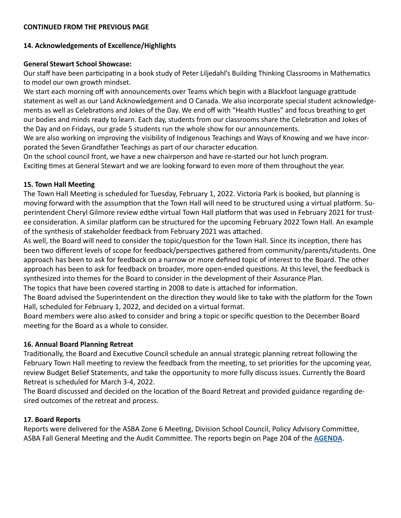#### **CONTINUED FROM THE PREVIOUS PAGE**

#### **14. Acknowledgements of Excellence/Highlights**

#### **General Stewart School Showcase:**

Our staff have been participating in a book study of Peter Liljedahl's Building Thinking Classrooms in Mathematics to model our own growth mindset.

We start each morning off with announcements over Teams which begin with a Blackfoot language gratitude statement as well as our Land Acknowledgement and O Canada. We also incorporate special student acknowledgements as well as Celebrations and Jokes of the Day. We end off with "Health Hustles" and focus breathing to get our bodies and minds ready to learn. Each day, students from our classrooms share the Celebration and Jokes of the Day and on Fridays, our grade 5 students run the whole show for our announcements.

We are also working on improving the visibility of Indigenous Teachings and Ways of Knowing and we have incorporated the Seven Grandfather Teachings as part of our character education.

On the school council front, we have a new chairperson and have re-started our hot lunch program. Exciting times at General Stewart and we are looking forward to even more of them throughout the year.

#### **15. Town Hall Meeting**

The Town Hall Meeting is scheduled for Tuesday, February 1, 2022. Victoria Park is booked, but planning is moving forward with the assumption that the Town Hall will need to be structured using a virtual platform. Superintendent Cheryl Gilmore review edthe virtual Town Hall platform that was used in February 2021 for trustee consideration. A similar platform can be structured for the upcoming February 2022 Town Hall. An example of the synthesis of stakeholder feedback from February 2021 was attached.

As well, the Board will need to consider the topic/question for the Town Hall. Since its inception, there has been two different levels of scope for feedback/perspectives gathered from community/parents/students. One approach has been to ask for feedback on a narrow or more defined topic of interest to the Board. The other approach has been to ask for feedback on broader, more open-ended questions. At this level, the feedback is synthesized into themes for the Board to consider in the development of their Assurance Plan. The topics that have been covered starting in 2008 to date is attached for information.

The Board advised the Superintendent on the direction they would like to take with the platform for the Town Hall, scheduled for February 1, 2022, and decided on a virtual format.

Board members were also asked to consider and bring a topic or specific question to the December Board meeting for the Board as a whole to consider.

#### **16. Annual Board Planning Retreat**

Traditionally, the Board and Executive Council schedule an annual strategic planning retreat following the February Town Hall meeting to review the feedback from the meeting, to set priorities for the upcoming year, review Budget Belief Statements, and take the opportunity to more fully discuss issues. Currently the Board Retreat is scheduled for March 3-4, 2022.

The Board discussed and decided on the location of the Board Retreat and provided guidance regarding desired outcomes of the retreat and process.

#### **17. Board Reports**

Reports were delivered for the ASBA Zone 6 Meeting, Division School Council, Policy Advisory Committee, ASBA Fall General Meeting and the Audit Committee. The reports begin on Page 204 of the **[AGENDA](https://www.lethsd.ab.ca/download/372980)**.